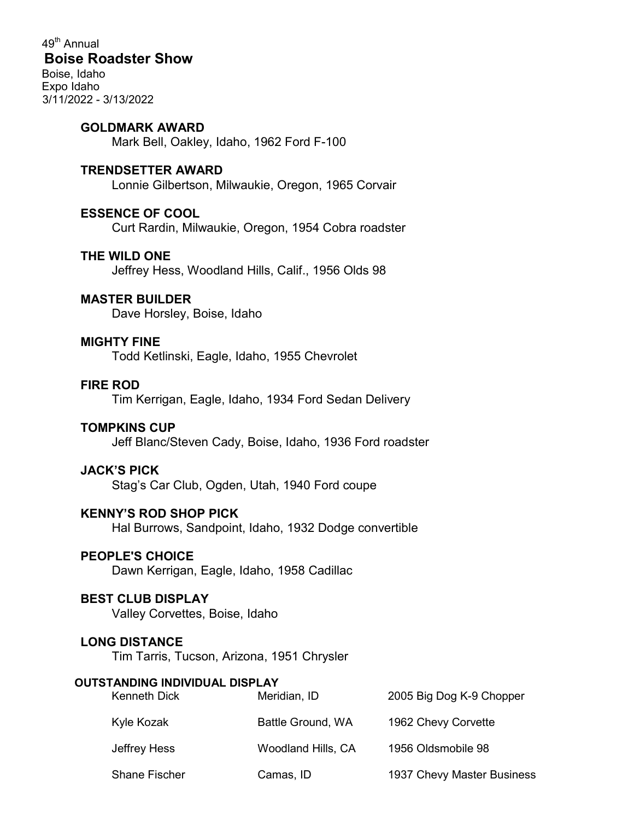49<sup>th</sup> Annual Boise Roadster Show Boise, Idaho Expo Idaho 3/11/2022 - 3/13/2022

### GOLDMARK AWARD

Mark Bell, Oakley, Idaho, 1962 Ford F-100

#### TRENDSETTER AWARD

Lonnie Gilbertson, Milwaukie, Oregon, 1965 Corvair

# ESSENCE OF COOL

Curt Rardin, Milwaukie, Oregon, 1954 Cobra roadster

## THE WILD ONE

Jeffrey Hess, Woodland Hills, Calif., 1956 Olds 98

### MASTER BUILDER

Dave Horsley, Boise, Idaho

### MIGHTY FINE

Todd Ketlinski, Eagle, Idaho, 1955 Chevrolet

### FIRE ROD

Tim Kerrigan, Eagle, Idaho, 1934 Ford Sedan Delivery

## TOMPKINS CUP

Jeff Blanc/Steven Cady, Boise, Idaho, 1936 Ford roadster

### JACK'S PICK

Stag's Car Club, Ogden, Utah, 1940 Ford coupe

# KENNY'S ROD SHOP PICK

Hal Burrows, Sandpoint, Idaho, 1932 Dodge convertible

### PEOPLE'S CHOICE

Dawn Kerrigan, Eagle, Idaho, 1958 Cadillac

## BEST CLUB DISPLAY

Valley Corvettes, Boise, Idaho

### LONG DISTANCE

Tim Tarris, Tucson, Arizona, 1951 Chrysler

#### OUTSTANDING INDIVIDUAL DISPLAY

| <b>Kenneth Dick</b>  | Meridian, ID       | 2005 Big Dog K-9 Chopper   |
|----------------------|--------------------|----------------------------|
| Kyle Kozak           | Battle Ground, WA  | 1962 Chevy Corvette        |
| Jeffrey Hess         | Woodland Hills, CA | 1956 Oldsmobile 98         |
| <b>Shane Fischer</b> | Camas, ID          | 1937 Chevy Master Business |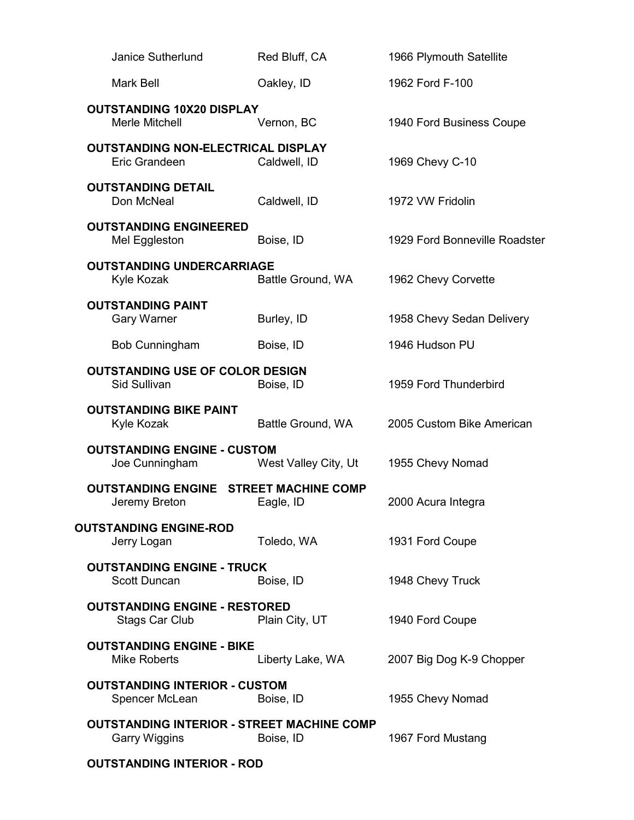| <b>Janice Sutherlund</b>                                           | Red Bluff, CA        | 1966 Plymouth Satellite       |
|--------------------------------------------------------------------|----------------------|-------------------------------|
| Mark Bell                                                          | Oakley, ID           | 1962 Ford F-100               |
| <b>OUTSTANDING 10X20 DISPLAY</b><br>Merle Mitchell                 | Vernon, BC           | 1940 Ford Business Coupe      |
| <b>OUTSTANDING NON-ELECTRICAL DISPLAY</b><br>Eric Grandeen         | Caldwell, ID         | 1969 Chevy C-10               |
| <b>OUTSTANDING DETAIL</b><br>Don McNeal                            | Caldwell, ID         | 1972 VW Fridolin              |
| <b>OUTSTANDING ENGINEERED</b><br>Mel Eggleston                     | Boise, ID            | 1929 Ford Bonneville Roadster |
| <b>OUTSTANDING UNDERCARRIAGE</b><br>Kyle Kozak                     | Battle Ground, WA    | 1962 Chevy Corvette           |
| <b>OUTSTANDING PAINT</b><br><b>Gary Warner</b>                     | Burley, ID           | 1958 Chevy Sedan Delivery     |
| Bob Cunningham                                                     | Boise, ID            | 1946 Hudson PU                |
| <b>OUTSTANDING USE OF COLOR DESIGN</b><br>Sid Sullivan             | Boise, ID            | 1959 Ford Thunderbird         |
| <b>OUTSTANDING BIKE PAINT</b><br>Kyle Kozak                        | Battle Ground, WA    | 2005 Custom Bike American     |
| <b>OUTSTANDING ENGINE - CUSTOM</b><br>Joe Cunningham               | West Valley City, Ut | 1955 Chevy Nomad              |
| <b>OUTSTANDING ENGINE STREET MACHINE COMP</b><br>Jeremy Breton     | Eagle, ID            | 2000 Acura Integra            |
| <b>OUTSTANDING ENGINE-ROD</b><br>Jerry Logan                       | Toledo, WA           | 1931 Ford Coupe               |
| <b>OUTSTANDING ENGINE - TRUCK</b><br>Scott Duncan                  | Boise, ID            | 1948 Chevy Truck              |
| <b>OUTSTANDING ENGINE - RESTORED</b><br>Stags Car Club             | Plain City, UT       | 1940 Ford Coupe               |
| <b>OUTSTANDING ENGINE - BIKE</b><br><b>Mike Roberts</b>            | Liberty Lake, WA     | 2007 Big Dog K-9 Chopper      |
| <b>OUTSTANDING INTERIOR - CUSTOM</b><br>Spencer McLean             | Boise, ID            | 1955 Chevy Nomad              |
| <b>OUTSTANDING INTERIOR - STREET MACHINE COMP</b><br>Garry Wiggins | Boise, ID            | 1967 Ford Mustang             |
| <b>OUTSTANDING INTERIOR - ROD</b>                                  |                      |                               |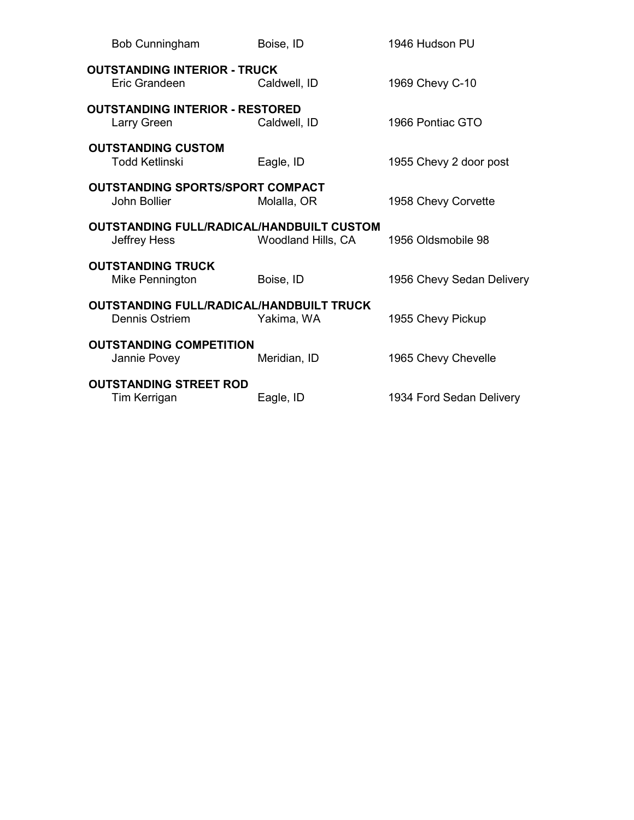| <b>Bob Cunningham</b>                                            | Boise, ID          | 1946 Hudson PU            |
|------------------------------------------------------------------|--------------------|---------------------------|
| <b>OUTSTANDING INTERIOR - TRUCK</b><br>Eric Grandeen             | Caldwell, ID       | 1969 Chevy C-10           |
| <b>OUTSTANDING INTERIOR - RESTORED</b><br>Larry Green            | Caldwell, ID       | 1966 Pontiac GTO          |
| <b>OUTSTANDING CUSTOM</b><br><b>Todd Ketlinski</b>               | Eagle, ID          | 1955 Chevy 2 door post    |
| <b>OUTSTANDING SPORTS/SPORT COMPACT</b><br>John Bollier          | Molalla, OR        | 1958 Chevy Corvette       |
| <b>OUTSTANDING FULL/RADICAL/HANDBUILT CUSTOM</b><br>Jeffrey Hess | Woodland Hills, CA | 1956 Oldsmobile 98        |
| <b>OUTSTANDING TRUCK</b><br>Mike Pennington                      | Boise, ID          | 1956 Chevy Sedan Delivery |
| OUTSTANDING FULL/RADICAL/HANDBUILT TRUCK<br>Dennis Ostriem       | Yakima, WA         | 1955 Chevy Pickup         |
| <b>OUTSTANDING COMPETITION</b><br>Jannie Povey                   | Meridian, ID       | 1965 Chevy Chevelle       |
| <b>OUTSTANDING STREET ROD</b><br>Tim Kerrigan                    | Eagle, ID          | 1934 Ford Sedan Delivery  |